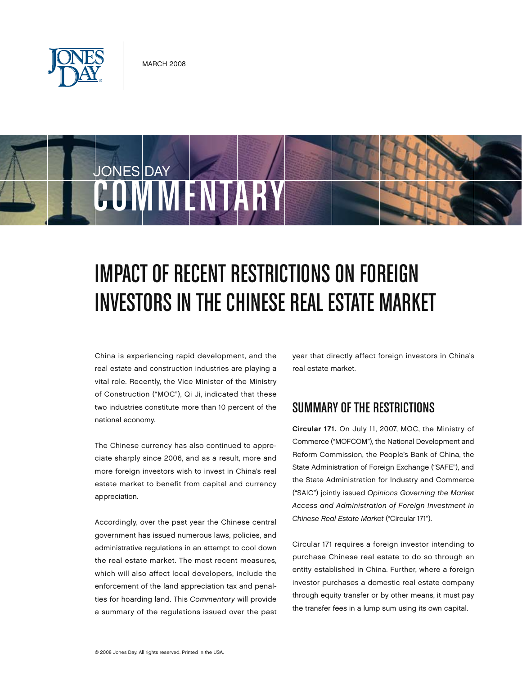

JONES DAY

# COMMENTARY

## IMPACT OF RECENT RESTRICTIONS ON FOREIGN Investors inthe Chinese Real Estate Market

China is experiencing rapid development, and the real estate and construction industries are playing a vital role. Recently, the Vice Minister of the Ministry of Construction ("MOC"), Qi Ji, indicated that these two industries constitute more than 10 percent of the national economy.

The Chinese currency has also continued to appreciate sharply since 2006, and as a result, more and more foreign investors wish to invest in China's real estate market to benefit from capital and currency appreciation.

Accordingly, over the past year the Chinese central government has issued numerous laws, policies, and administrative regulations in an attempt to cool down the real estate market. The most recent measures, which will also affect local developers, include the enforcement of the land appreciation tax and penalties for hoarding land. This *Commentary* will provide a summary of the regulations issued over the past year that directly affect foreign investors in China's real estate market.

#### Summaryof the Restrictions

Circular 171. On July 11, 2007, MOC, the Ministry of Commerce ("MOFCOM"), the National Development and Reform Commission, the People's Bank of China, the State Administration of Foreign Exchange ("SAFE"), and the State Administration for Industry and Commerce ("SAIC") jointly issued *Opinions Governing the Market Access and Administration of Foreign Investment in Chinese Real Estate Market* ("Circular 171").

Circular 171 requires a foreign investor intending to purchase Chinese real estate to do so through an entity established in China. Further, where a foreign investor purchases a domestic real estate company through equity transfer or by other means, it must pay the transfer fees in a lump sum using its own capital.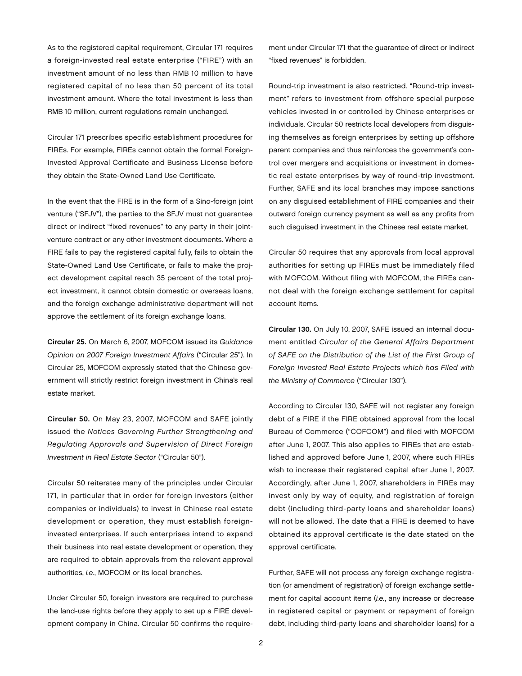As to the registered capital requirement, Circular 171 requires a foreign-invested real estate enterprise ("FIRE") with an investment amount of no less than RMB 10 million to have registered capital of no less than 50 percent of its total investment amount. Where the total investment is less than RMB 10 million, current regulations remain unchanged.

Circular 171 prescribes specific establishment procedures for FIREs. For example, FIREs cannot obtain the formal Foreign-Invested Approval Certificate and Business License before they obtain the State-Owned Land Use Certificate.

In the event that the FIRE is in the form of a Sino-foreign joint venture ("SFJV"), the parties to the SFJV must not guarantee direct or indirect "fixed revenues" to any party in their jointventure contract or any other investment documents. Where a FIRE fails to pay the registered capital fully, fails to obtain the State-Owned Land Use Certificate, or fails to make the project development capital reach 35 percent of the total project investment, it cannot obtain domestic or overseas loans, and the foreign exchange administrative department will not approve the settlement of its foreign exchange loans.

Circular 25. On March 6, 2007, MOFCOM issued its *Guidance Opinion on 2007 Foreign Investment Affairs* ("Circular 25"). In Circular 25, MOFCOM expressly stated that the Chinese government will strictly restrict foreign investment in China's real estate market.

Circular 50. On May 23, 2007, MOFCOM and SAFE jointly issued the *Notices Governing Further Strengthening and Regulating Approvals and Supervision of Direct Foreign Investment in Real Estate Sector* ("Circular 50").

Circular 50 reiterates many of the principles under Circular 171, in particular that in order for foreign investors (either companies or individuals) to invest in Chinese real estate development or operation, they must establish foreigninvested enterprises. If such enterprises intend to expand their business into real estate development or operation, they are required to obtain approvals from the relevant approval authorities, *i.e.*, MOFCOM or its local branches.

Under Circular 50, foreign investors are required to purchase the land-use rights before they apply to set up a FIRE development company in China. Circular 50 confirms the requirement under Circular 171 that the guarantee of direct or indirect "fixed revenues" is forbidden.

Round-trip investment is also restricted. "Round-trip investment" refers to investment from offshore special purpose vehicles invested in or controlled by Chinese enterprises or individuals. Circular 50 restricts local developers from disguising themselves as foreign enterprises by setting up offshore parent companies and thus reinforces the government's control over mergers and acquisitions or investment in domestic real estate enterprises by way of round-trip investment. Further, SAFE and its local branches may impose sanctions on any disguised establishment of FIRE companies and their outward foreign currency payment as well as any profits from such disguised investment in the Chinese real estate market.

Circular 50 requires that any approvals from local approval authorities for setting up FIREs must be immediately filed with MOFCOM. Without filing with MOFCOM, the FIREs cannot deal with the foreign exchange settlement for capital account items.

Circular 130. On July 10, 2007, SAFE issued an internal document entitled *Circular of the General Affairs Department of SAFE on the Distribution of the List of the First Group of Foreign Invested Real Estate Projects which has Filed with the Ministry of Commerce* ("Circular 130").

According to Circular 130, SAFE will not register any foreign debt of a FIRE if the FIRE obtained approval from the local Bureau of Commerce ("COFCOM") and filed with MOFCOM after June 1, 2007. This also applies to FIREs that are established and approved before June 1, 2007, where such FIREs wish to increase their registered capital after June 1, 2007. Accordingly, after June 1, 2007, shareholders in FIREs may invest only by way of equity, and registration of foreign debt (including third-party loans and shareholder loans) will not be allowed. The date that a FIRE is deemed to have obtained its approval certificate is the date stated on the approval certificate.

Further, SAFE will not process any foreign exchange registration (or amendment of registration) of foreign exchange settlement for capital account items (*i.e.*, any increase or decrease in registered capital or payment or repayment of foreign debt, including third-party loans and shareholder loans) for a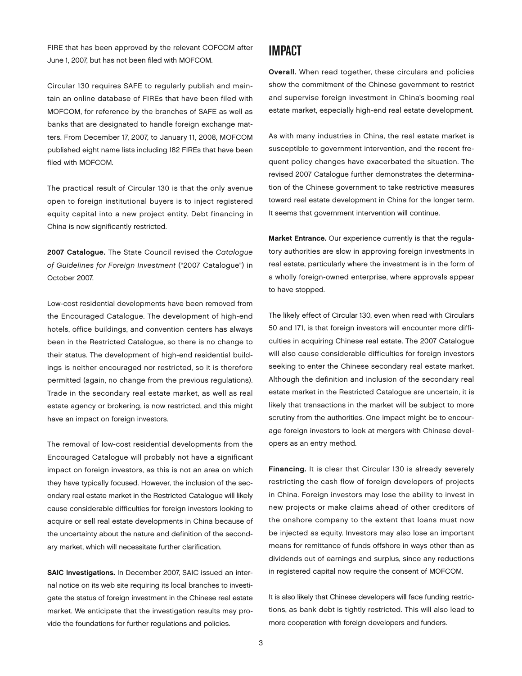FIRE that has been approved by the relevant COFCOM after June 1, 2007, but has not been filed with MOFCOM.

Circular 130 requires SAFE to regularly publish and maintain an online database of FIREs that have been filed with MOFCOM, for reference by the branches of SAFE as well as banks that are designated to handle foreign exchange matters. From December 17, 2007, to January 11, 2008, MOFCOM published eight name lists including 182 FIREs that have been filed with MOFCOM.

The practical result of Circular 130 is that the only avenue open to foreign institutional buyers is to inject registered equity capital into a new project entity. Debt financing in China is now significantly restricted.

2007 Catalogue. The State Council revised the *Catalogue of Guidelines for Foreign Investment* ("2007 Catalogue") in October 2007.

Low-cost residential developments have been removed from the Encouraged Catalogue. The development of high-end hotels, office buildings, and convention centers has always been in the Restricted Catalogue, so there is no change to their status. The development of high-end residential buildings is neither encouraged nor restricted, so it is therefore permitted (again, no change from the previous regulations). Trade in the secondary real estate market, as well as real estate agency or brokering, is now restricted, and this might have an impact on foreign investors.

The removal of low-cost residential developments from the Encouraged Catalogue will probably not have a significant impact on foreign investors, as this is not an area on which they have typically focused. However, the inclusion of the secondary real estate market in the Restricted Catalogue will likely cause considerable difficulties for foreign investors looking to acquire or sell real estate developments in China because of the uncertainty about the nature and definition of the secondary market, which will necessitate further clarification.

SAIC Investigations. In December 2007, SAIC issued an internal notice on its web site requiring its local branches to investigate the status of foreign investment in the Chinese real estate market. We anticipate that the investigation results may provide the foundations for further regulations and policies.

#### Impact

Overall. When read together, these circulars and policies show the commitment of the Chinese government to restrict and supervise foreign investment in China's booming real estate market, especially high-end real estate development.

As with many industries in China, the real estate market is susceptible to government intervention, and the recent frequent policy changes have exacerbated the situation. The revised 2007 Catalogue further demonstrates the determination of the Chinese government to take restrictive measures toward real estate development in China for the longer term. It seems that government intervention will continue.

Market Entrance. Our experience currently is that the regulatory authorities are slow in approving foreign investments in real estate, particularly where the investment is in the form of a wholly foreign-owned enterprise, where approvals appear to have stopped.

The likely effect of Circular 130, even when read with Circulars 50 and 171, is that foreign investors will encounter more difficulties in acquiring Chinese real estate. The 2007 Catalogue will also cause considerable difficulties for foreign investors seeking to enter the Chinese secondary real estate market. Although the definition and inclusion of the secondary real estate market in the Restricted Catalogue are uncertain, it is likely that transactions in the market will be subject to more scrutiny from the authorities. One impact might be to encourage foreign investors to look at mergers with Chinese developers as an entry method.

Financing. It is clear that Circular 130 is already severely restricting the cash flow of foreign developers of projects in China. Foreign investors may lose the ability to invest in new projects or make claims ahead of other creditors of the onshore company to the extent that loans must now be injected as equity. Investors may also lose an important means for remittance of funds offshore in ways other than as dividends out of earnings and surplus, since any reductions in registered capital now require the consent of MOFCOM.

It is also likely that Chinese developers will face funding restrictions, as bank debt is tightly restricted. This will also lead to more cooperation with foreign developers and funders.